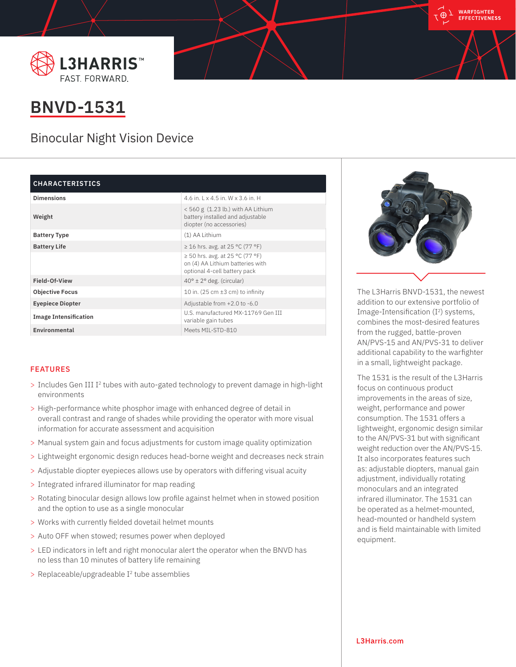



## **BNVD-1531**

## Binocular Night Vision Device

| <b>CHARACTERISTICS</b> |  |
|------------------------|--|
|------------------------|--|

| <b>Dimensions</b>            | 4.6 in. $1 \times 4.5$ in. W $\times$ 3.6 in. H                                                      |
|------------------------------|------------------------------------------------------------------------------------------------------|
| Weight                       | $< 560$ g (1.23 lb.) with AA Lithium<br>battery installed and adjustable<br>diopter (no accessories) |
| <b>Battery Type</b>          | (1) AA Lithium                                                                                       |
| <b>Battery Life</b>          | ≥ 16 hrs. avg. at 25 °C (77 °F)                                                                      |
|                              | ≥ 50 hrs. avg. at 25 °C (77 °F)<br>on (4) AA Lithium batteries with<br>optional 4-cell battery pack  |
| Field-Of-View                | $40^{\circ} \pm 2^{\circ}$ deg. (circular)                                                           |
| <b>Objective Focus</b>       | 10 in. (25 cm $\pm$ 3 cm) to infinity                                                                |
| <b>Eyepiece Diopter</b>      | Adjustable from +2.0 to -6.0                                                                         |
| <b>Image Intensification</b> | U.S. manufactured MX-11769 Gen III<br>variable gain tubes                                            |
| Environmental                | Meets MIL-STD-810                                                                                    |

## FEATURES

- > Includes Gen III I<sup>2</sup> tubes with auto-gated technology to prevent damage in high-light environments
- > High-performance white phosphor image with enhanced degree of detail in overall contrast and range of shades while providing the operator with more visual information for accurate assessment and acquisition
- > Manual system gain and focus adjustments for custom image quality optimization
- > Lightweight ergonomic design reduces head-borne weight and decreases neck strain
- > Adjustable diopter eyepieces allows use by operators with differing visual acuity
- > Integrated infrared illuminator for map reading
- > Rotating binocular design allows low profile against helmet when in stowed position and the option to use as a single monocular
- > Works with currently fielded dovetail helmet mounts
- > Auto OFF when stowed; resumes power when deployed
- > LED indicators in left and right monocular alert the operator when the BNVD has no less than 10 minutes of battery life remaining
- > Replaceable/upgradeable I2 tube assemblies



The L3Harris BNVD-1531, the newest addition to our extensive portfolio of Image-Intensification  $(I^2)$  systems, combines the most-desired features from the rugged, battle-proven AN/PVS-15 and AN/PVS-31 to deliver additional capability to the warfighter in a small, lightweight package.

The 1531 is the result of the L3Harris focus on continuous product improvements in the areas of size, weight, performance and power consumption. The 1531 offers a lightweight, ergonomic design similar to the AN/PVS-31 but with significant weight reduction over the AN/PVS-15. It also incorporates features such as: adjustable diopters, manual gain adjustment, individually rotating monoculars and an integrated infrared illuminator. The 1531 can be operated as a helmet-mounted, head-mounted or handheld system and is field maintainable with limited equipment.